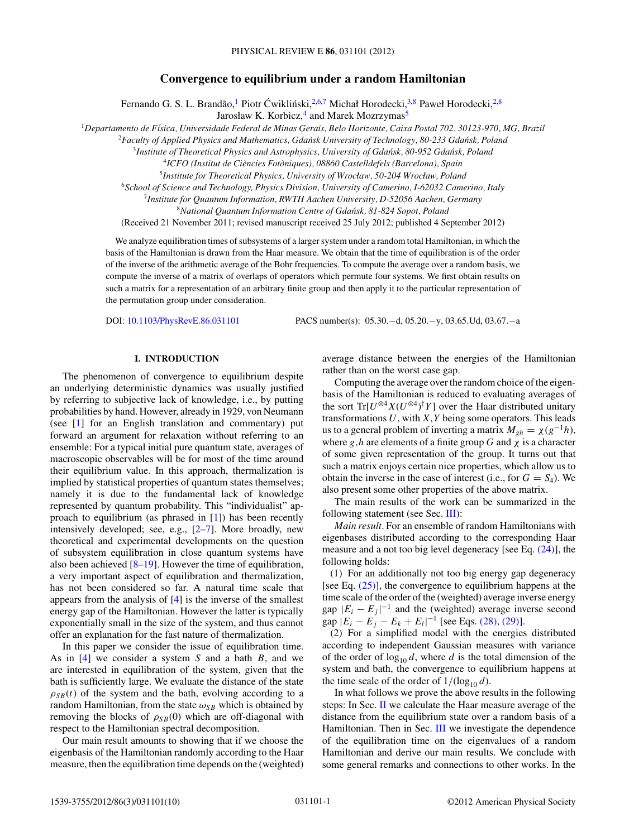# **Convergence to equilibrium under a random Hamiltonian**

Fernando G. S. L. Brandão,<sup>1</sup> Piotr Ćwikliński, <sup>2,6,7</sup> Michał Horodecki, <sup>3,8</sup> Paweł Horodecki, <sup>2,8</sup>

Jarosław K. Korbicz, $4$  and Marek Mozrzymas<sup>5</sup>

<sup>1</sup>*Departamento de F´ısica, Universidade Federal de Minas Gerais, Belo Horizonte, Caixa Postal 702, 30123-970, MG, Brazil*

<sup>2</sup>Faculty of Applied Physics and Mathematics, Gdańsk University of Technology, 80-233 Gdańsk, Poland

<sup>3</sup> Institute of Theoretical Physics and Astrophysics, University of Gdańsk, 80-952 Gdańsk, Poland

<sup>4</sup>*ICFO (Institut de Ciencies Fot ` oniques), 08860 Castelldefels (Barcelona), Spain `*

<sup>5</sup>*Institute for Theoretical Physics, University of Wrocław, 50-204 Wrocław, Poland*

<sup>6</sup>*School of Science and Technology, Physics Division, University of Camerino, I-62032 Camerino, Italy*

<sup>7</sup>*Institute for Quantum Information, RWTH Aachen University, D-52056 Aachen, Germany*

<sup>8</sup>*National Quantum Information Centre of Gdansk, 81-824 Sopot, Poland ´*

(Received 21 November 2011; revised manuscript received 25 July 2012; published 4 September 2012)

We analyze equilibration times of subsystems of a larger system under a random total Hamiltonian, in which the basis of the Hamiltonian is drawn from the Haar measure. We obtain that the time of equilibration is of the order of the inverse of the arithmetic average of the Bohr frequencies. To compute the average over a random basis, we compute the inverse of a matrix of overlaps of operators which permute four systems. We first obtain results on such a matrix for a representation of an arbitrary finite group and then apply it to the particular representation of the permutation group under consideration.

DOI: [10.1103/PhysRevE.86.031101](http://dx.doi.org/10.1103/PhysRevE.86.031101) PACS number(s): 05*.*30*.*−d, 05*.*20*.*−y, 03*.*65*.*Ud, 03*.*67*.*−a

## **I. INTRODUCTION**

The phenomenon of convergence to equilibrium despite an underlying deterministic dynamics was usually justified by referring to subjective lack of knowledge, i.e., by putting probabilities by hand. However, already in 1929, von Neumann (see [\[1\]](#page-9-0) for an English translation and commentary) put forward an argument for relaxation without referring to an ensemble: For a typical initial pure quantum state, averages of macroscopic observables will be for most of the time around their equilibrium value. In this approach, thermalization is implied by statistical properties of quantum states themselves; namely it is due to the fundamental lack of knowledge represented by quantum probability. This "individualist" approach to equilibrium (as phrased in [\[1\]](#page-9-0)) has been recently intensively developed; see, e.g., [\[2–7\]](#page-9-0). More broadly, new theoretical and experimental developments on the question of subsystem equilibration in close quantum systems have also been achieved  $[8-19]$ . However the time of equilibration, a very important aspect of equilibration and thermalization, has not been considered so far. A natural time scale that appears from the analysis of [\[4\]](#page-9-0) is the inverse of the smallest energy gap of the Hamiltonian. However the latter is typically exponentially small in the size of the system, and thus cannot offer an explanation for the fast nature of thermalization.

In this paper we consider the issue of equilibration time. As in [\[4\]](#page-9-0) we consider a system *S* and a bath *B*, and we are interested in equilibration of the system, given that the bath is sufficiently large. We evaluate the distance of the state  $\rho_{SB}(t)$  of the system and the bath, evolving according to a random Hamiltonian, from the state  $\omega_{SB}$  which is obtained by removing the blocks of  $\rho_{SB}(0)$  which are off-diagonal with respect to the Hamiltonian spectral decomposition.

Our main result amounts to showing that if we choose the eigenbasis of the Hamiltonian randomly according to the Haar measure, then the equilibration time depends on the (weighted)

average distance between the energies of the Hamiltonian rather than on the worst case gap.

Computing the average over the random choice of the eigenbasis of the Hamiltonian is reduced to evaluating averages of the sort  $Tr[U^{\otimes 4}X(U^{\otimes 4})^{\dagger}Y]$  over the Haar distributed unitary transformations *U*, with *X,Y* being some operators. This leads us to a general problem of inverting a matrix  $M_{gh} = \chi(g^{-1}h)$ , where  $g,h$  are elements of a finite group *G* and  $\chi$  is a character of some given representation of the group. It turns out that such a matrix enjoys certain nice properties, which allow us to obtain the inverse in the case of interest (i.e., for  $G = S_4$ ). We also present some other properties of the above matrix.

The main results of the work can be summarized in the following statement (see Sec. [III\)](#page-3-0):

*Main result*. For an ensemble of random Hamiltonians with eigenbases distributed according to the corresponding Haar measure and a not too big level degeneracy [see Eq. [\(24\)\]](#page-3-0), the following holds:

(1) For an additionally not too big energy gap degeneracy [see Eq.  $(25)$ ], the convergence to equilibrium happens at the time scale of the order of the (weighted) average inverse energy gap  $|E_i - E_j|^{-1}$  and the (weighted) average inverse second  $\text{gap } |E_i - E_j - E_k + E_l|^{-1} \text{ [see Eqs. (28), (29)].}$  $\text{gap } |E_i - E_j - E_k + E_l|^{-1} \text{ [see Eqs. (28), (29)].}$  $\text{gap } |E_i - E_j - E_k + E_l|^{-1} \text{ [see Eqs. (28), (29)].}$  $\text{gap } |E_i - E_j - E_k + E_l|^{-1} \text{ [see Eqs. (28), (29)].}$  $\text{gap } |E_i - E_j - E_k + E_l|^{-1} \text{ [see Eqs. (28), (29)].}$ 

(2) For a simplified model with the energies distributed according to independent Gaussian measures with variance of the order of  $\log_{10} d$ , where *d* is the total dimension of the system and bath, the convergence to equilibrium happens at the time scale of the order of  $1/(\log_{10} d)$ .

In what follows we prove the above results in the following steps: In Sec. [II](#page-1-0) we calculate the Haar measure average of the distance from the equilibrium state over a random basis of a Hamiltonian. Then in Sec. [III](#page-3-0) we investigate the dependence of the equilibration time on the eigenvalues of a random Hamiltonian and derive our main results. We conclude with some general remarks and connections to other works. In the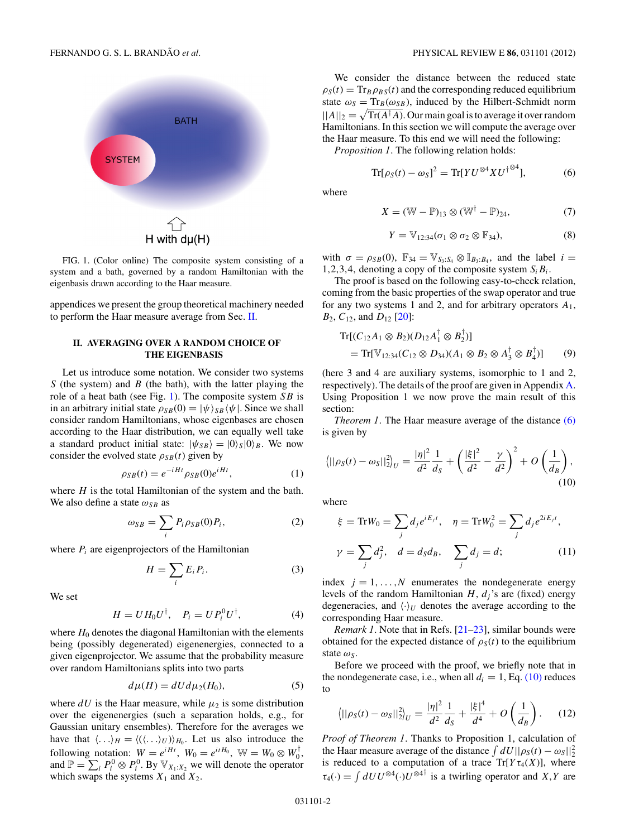<span id="page-1-0"></span>

FIG. 1. (Color online) The composite system consisting of a system and a bath, governed by a random Hamiltonian with the eigenbasis drawn according to the Haar measure.

appendices we present the group theoretical machinery needed to perform the Haar measure average from Sec. II.

## **II. AVERAGING OVER A RANDOM CHOICE OF THE EIGENBASIS**

Let us introduce some notation. We consider two systems *S* (the system) and *B* (the bath), with the latter playing the role of a heat bath (see Fig. 1). The composite system *SB* is in an arbitrary initial state  $\rho_{SB}(0) = |\psi\rangle_{SB}(\psi)$ . Since we shall consider random Hamiltonians, whose eigenbases are chosen according to the Haar distribution, we can equally well take a standard product initial state:  $|\psi_{SB}\rangle=|0\rangle_{S}|0\rangle_{B}$ . We now consider the evolved state  $\rho_{SB}(t)$  given by

$$
\rho_{SB}(t) = e^{-iHt} \rho_{SB}(0) e^{iHt}, \qquad (1)
$$

where *H* is the total Hamiltonian of the system and the bath. We also define a state  $\omega_{SB}$  as

$$
\omega_{SB} = \sum_{i} P_i \rho_{SB}(0) P_i, \qquad (2)
$$

where  $P_i$  are eigenprojectors of the Hamiltonian

$$
H = \sum_{i} E_i P_i. \tag{3}
$$

We set

$$
H = U H_0 U^{\dagger}, \quad P_i = U P_i^0 U^{\dagger}, \tag{4}
$$

where  $H_0$  denotes the diagonal Hamiltonian with the elements being (possibly degenerated) eigenenergies, connected to a given eigenprojector. We assume that the probability measure over random Hamiltonians splits into two parts

$$
d\mu(H) = dU d\mu_2(H_0),\tag{5}
$$

where  $dU$  is the Haar measure, while  $\mu_2$  is some distribution over the eigenenergies (such a separation holds, e.g., for Gaussian unitary ensembles). Therefore for the averages we have that  $\langle \ldots \rangle_H = \langle (\langle \ldots \rangle_U) \rangle_{H_0}$ . Let us also introduce the following notation:  $W = e^{iHt}$ ,  $W_0 = e^{itH_0}$ ,  $W = W_0 \otimes W_0^{\dagger}$ , and  $\mathbb{P} = \sum_i P_i^0 \otimes P_i^0$ . By  $\mathbb{V}_{X_1:X_2}$  we will denote the operator which swaps the systems  $X_1$  and  $X_2$ .

We consider the distance between the reduced state  $\rho_S(t) = \text{Tr}_B \rho_{BS}(t)$  and the corresponding reduced equilibrium state  $\omega_S = \text{Tr}_B(\omega_{SB})$ , induced by the Hilbert-Schmidt norm  $||A||_2 = \sqrt{\text{Tr}(A^{\dagger}A)}$ . Our main goal is to average it over random Hamiltonians. In this section we will compute the average over the Haar measure. To this end we will need the following:

*Proposition 1*. The following relation holds:

$$
\operatorname{Tr}[\rho_S(t) - \omega_S]^2 = \operatorname{Tr}[YU^{\otimes 4}XU^{\dagger^{\otimes 4}}],\tag{6}
$$

where

$$
X = (\mathbb{W} - \mathbb{P})_{13} \otimes (\mathbb{W}^{\dagger} - \mathbb{P})_{24},\tag{7}
$$

$$
Y = \mathbb{V}_{12:34}(\sigma_1 \otimes \sigma_2 \otimes \mathbb{F}_{34}), \tag{8}
$$

with  $\sigma = \rho_{SB}(0)$ ,  $\mathbb{F}_{34} = \mathbb{V}_{S_3:S_4} \otimes \mathbb{I}_{B_3:B_4}$ , and the label  $i =$ 1,2,3,4, denoting a copy of the composite system  $S_i B_i$ .

The proof is based on the following easy-to-check relation, coming from the basic properties of the swap operator and true for any two systems 1 and 2, and for arbitrary operators *A*1, *B*2, *C*12, and *D*<sup>12</sup> [\[20\]](#page-9-0):

$$
Tr[(C_{12}A_1 \otimes B_2)(D_{12}A_1^{\dagger} \otimes B_2^{\dagger})]
$$
  
= Tr[ $\mathbb{V}_{12:34}$ (C<sub>12</sub>  $\otimes$  D<sub>34</sub>)(A<sub>1</sub>  $\otimes$  B<sub>2</sub>  $\otimes$  A<sub>3</sub> <sup>$\dagger$</sup>   $\otimes$  B<sub>4</sub> <sup>$\dagger$</sup> )] (9)

(here 3 and 4 are auxiliary systems, isomorphic to 1 and 2, respectively). The details of the proof are given in Appendix [A.](#page-5-0) Using Proposition 1 we now prove the main result of this section:

*Theorem 1*. The Haar measure average of the distance (6) is given by

$$
\langle ||\rho_S(t) - \omega_S||_2^2 \rangle_U = \frac{|\eta|^2}{d^2} \frac{1}{d_S} + \left(\frac{|\xi|^2}{d^2} - \frac{\gamma}{d^2}\right)^2 + O\left(\frac{1}{d_B}\right),\tag{10}
$$

where

$$
\xi = \text{Tr} W_0 = \sum_j d_j e^{iE_j t}, \quad \eta = \text{Tr} W_0^2 = \sum_j d_j e^{2iE_j t},
$$
  

$$
\gamma = \sum_j d_j^2, \quad d = d_S d_B, \quad \sum_j d_j = d; \tag{11}
$$

index  $j = 1, \ldots, N$  enumerates the nondegenerate energy levels of the random Hamiltonian  $H$ ,  $d_j$ 's are (fixed) energy degeneracies, and  $\langle \cdot \rangle_U$  denotes the average according to the corresponding Haar measure.

*Remark 1.* Note that in Refs. [\[21–23\]](#page-9-0), similar bounds were obtained for the expected distance of  $\rho_S(t)$  to the equilibrium state *ωS*.

Before we proceed with the proof, we briefly note that in the nondegenerate case, i.e., when all  $d_i = 1$ , Eq. (10) reduces to

$$
\left\langle ||\rho_S(t) - \omega_S||_2^2 \right\rangle_U = \frac{|\eta|^2}{d^2} \frac{1}{d_S} + \frac{|\xi|^4}{d^4} + O\left(\frac{1}{d_B}\right). \tag{12}
$$

*Proof of Theorem 1*. Thanks to Proposition 1, calculation of the Haar measure average of the distance  $\int dU ||\rho_S(t) - \omega_S||_2^2$ is reduced to a computation of a trace  $Tr[Y\tau_4(X)]$ , where  $\tau_4(\cdot) = \int dU U^{\otimes 4}(\cdot) U^{\otimes 4\dagger}$  is a twirling operator and *X,Y* are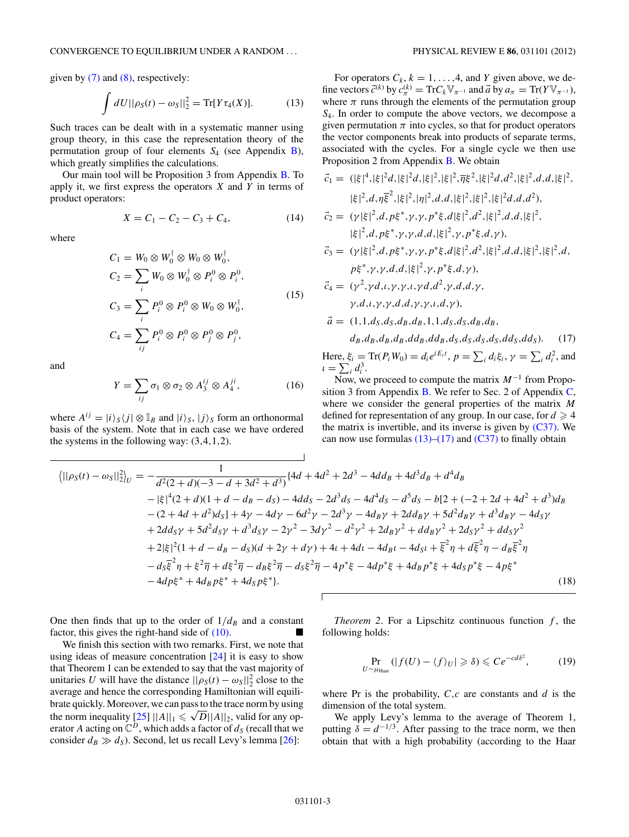given by  $(7)$  and  $(8)$ , respectively:

$$
\int dU ||\rho_S(t) - \omega_S||_2^2 = \text{Tr}[Y \tau_4(X)]. \tag{13}
$$

Such traces can be dealt with in a systematic manner using group theory, in this case the representation theory of the permutation group of four elements *S*<sup>4</sup> (see Appendix [B\)](#page-5-0), which greatly simplifies the calculations.

Our main tool will be Proposition 3 from Appendix [B.](#page-5-0) To apply it, we first express the operators *X* and *Y* in terms of product operators:

$$
X = C_1 - C_2 - C_3 + C_4, \tag{14}
$$

where

$$
C_1 = W_0 \otimes W_0^{\dagger} \otimes W_0 \otimes W_0^{\dagger},
$$
  
\n
$$
C_2 = \sum_i W_0 \otimes W_0^{\dagger} \otimes P_i^0 \otimes P_i^0,
$$
  
\n
$$
C_3 = \sum_i P_i^0 \otimes P_i^0 \otimes W_0 \otimes W_0^{\dagger},
$$
  
\n
$$
C_4 = \sum_{ij} P_i^0 \otimes P_i^0 \otimes P_j^0 \otimes P_j^0,
$$
  
\n(15)

and

$$
Y = \sum_{ij} \sigma_1 \otimes \sigma_2 \otimes A_3^{ij} \otimes A_4^{ji}, \qquad (16)
$$

where  $A^{ij} = |i\rangle_S\langle j| \otimes \mathbb{I}_B$  and  $|i\rangle_S, |j\rangle_S$  form an orthonormal basis of the system. Note that in each case we have ordered the systems in the following way: (3*,*4*,*1*,*2).

For operators  $C_k$ ,  $k = 1, \ldots, 4$ , and *Y* given above, we define vectors  $\vec{c}^{(k)}$  by  $c_{\pi}^{(k)} = \text{Tr}C_k \mathbb{V}_{\pi^{-1}}$  and  $\vec{a}$  by  $a_{\pi} = \text{Tr}(Y \mathbb{V}_{\pi^{-1}})$ , where  $\pi$  runs through the elements of the permutation group *S*4. In order to compute the above vectors, we decompose a given permutation  $\pi$  into cycles, so that for product operators the vector components break into products of separate terms, associated with the cycles. For a single cycle we then use Proposition 2 from Appendix [B.](#page-5-0) We obtain

*c*<sup>1</sup> = (|*ξ* | 4 *,*|*ξ* | 2 *d,*|*ξ* | 2 *d,*|*ξ* | 2 *,*|*ξ* | 2 *,ηξ* <sup>2</sup> *,*|*ξ* | 2 *d,d*<sup>2</sup> *,*|*ξ* | 2 *,d,d,*|*ξ* | 2 *,* |*ξ* | 2 *,d,ηξ* 2 *,*|*ξ* | 2 *,*|*η*| 2 *,d,d,*|*ξ* | 2 *,*|*ξ* | 2 *,*|*ξ* | 2 *d,d,d*<sup>2</sup> )*, c*<sup>2</sup> = (*γ* |*ξ* | 2 *,d,pξ* <sup>∗</sup>*,γ,γ,p*<sup>∗</sup>*ξ,d*|*ξ* | 2 *,d*<sup>2</sup> *,*|*ξ* | 2 *,d,d,*|*ξ* | 2 *,* |*ξ* | 2 *,d,pξ* <sup>∗</sup>*,γ,γ,d,d,*|*ξ* | 2 *,γ,p*<sup>∗</sup>*ξ,d,γ* )*, c*<sup>3</sup> = (*γ* |*ξ* | 2 *,d,pξ* <sup>∗</sup>*,γ,γ,p*<sup>∗</sup>*ξ,d*|*ξ* | 2 *,d*<sup>2</sup> *,*|*ξ* | 2 *,d,d,*|*ξ* | 2 *,*|*ξ* | 2 *,d, pξ* <sup>∗</sup>*,γ,γ,d,d,*|*ξ* | 2 *,γ,p*<sup>∗</sup>*ξ,d,γ* )*, c*<sup>4</sup> = (*γ* <sup>2</sup> *,γd,ι,γ,γ,ι,γd,d*<sup>2</sup> *,γ,d,d,γ, γ,d,ι,γ,γ,d,d,γ,γ,ι,d,γ* )*, a* = (1*,*1*,dS,dS,dB,dB,*1*,*1*,dS ,dS,dB,dB, dB,dB,dB,dB,ddB,ddB,dS,dS,dS,dS,ddS,ddS*)*.* (17) Here, *ξi* = Tr(*PiW*0) = *dieiEi <sup>t</sup>* , *p* = *<sup>i</sup> diξi*, *γ* = *<sup>i</sup> d*<sup>2</sup> *<sup>i</sup>* , and

 $\iota = \sum_i d_i^3$ . Now, we proceed to compute the matrix *M*−<sup>1</sup> from Proposition 3 from Appendix [B.](#page-5-0) We refer to Sec. 2 of Appendix [C,](#page-6-0) where we consider the general properties of the matrix *M* defined for representation of any group. In our case, for  $d \ge 4$ the matrix is invertible, and its inverse is given by  $(C37)$ . We

can now use formulas  $(13)$ – $(17)$  and  $(C37)$  to finally obtain

$$
\langle ||\rho_S(t) - \omega_S||_2^2 \rangle_U = -\frac{1}{d^2(2+d)(-3-d+3d^2+d^3)} \{4d+4d^2+2d^3-4dd_B+4d^3d_B+d^4d_B
$$
  
\n
$$
-|\xi|^4(2+d)(1+d-d_B-d_S) - 4dd_S - 2d^3d_S - 4d^4d_S - d^5d_S - b[2+(-2+2d+4d^2+d^3)d_B
$$
  
\n
$$
-(2+4d+d^2)d_S] + 4\gamma - 4d\gamma - 6d^2\gamma - 2d^3\gamma - 4d_B\gamma + 2dd_B\gamma + 5d^2d_B\gamma + d^3d_B\gamma - 4d_S\gamma
$$
  
\n
$$
+ 2dd_S\gamma + 5d^2d_S\gamma + d^3d_S\gamma - 2\gamma^2 - 3d\gamma^2 - d^2\gamma^2 + 2d_B\gamma^2 + dd_B\gamma^2 + 2d_S\gamma^2 + dd_S\gamma^2
$$
  
\n
$$
+ 2|\xi|^2(1+d-d_B-d_S)(d+2\gamma+d\gamma) + 4t + 4dt - 4d_Bt - 4d_St + \overline{\xi}^2\eta + d\overline{\xi}^2\eta - d_B\overline{\xi}^2\eta
$$
  
\n
$$
-d_S\overline{\xi}^2\eta + \xi^2\overline{\eta} + d\xi^2\overline{\eta} - d_B\xi^2\overline{\eta} - d_S\xi^2\overline{\eta} - 4p^*\xi - 4dp^*\xi + 4d_Bp^*\xi + 4d_Sp^*\xi - 4p\xi^*
$$
  
\n
$$
-4dp\xi^* + 4d_Bp\xi^* + 4d_Sp\xi^*.
$$
 (18)

One then finds that up to the order of  $1/d<sub>B</sub>$  and a constant factor, this gives the right-hand side of [\(10\).](#page-1-0)

We finish this section with two remarks. First, we note that using ideas of measure concentration [\[24\]](#page-9-0) it is easy to show that Theorem 1 can be extended to say that the vast majority of unitaries *U* will have the distance  $||\rho_S(t) - \omega_S||_2^2$  close to the average and hence the corresponding Hamiltonian will equilibrate quickly. Moreover, we can pass to the trace norm by using the norm inequality  $[25] ||A||_1 \le \sqrt{D} ||A||_2$  $[25] ||A||_1 \le \sqrt{D} ||A||_2$ , valid for any operator *A* acting on  $\mathbb{C}^D$ , which adds a factor of  $d_S$  (recall that we consider  $d_B \gg d_S$ ). Second, let us recall Levy's lemma [\[26\]](#page-9-0):

*Theorem 2.* For a Lipschitz continuous function  $f$ , the following holds:

$$
\Pr_{U \sim \mu_{\text{Haar}}} (|f(U) - \langle f \rangle_U| \geq \delta) \leqslant Ce^{-cd\delta^2},\tag{19}
$$

where Pr is the probability, *C,c* are constants and *d* is the dimension of the total system.

We apply Levy's lemma to the average of Theorem 1, putting  $\delta = d^{-1/3}$ . After passing to the trace norm, we then obtain that with a high probability (according to the Haar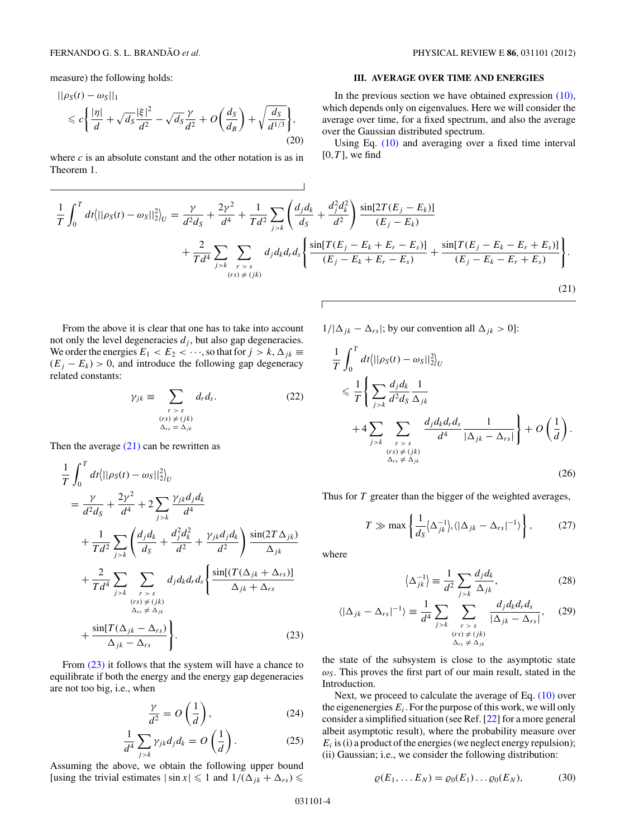<span id="page-3-0"></span>measure) the following holds:

$$
||\rho_S(t) - \omega_S||_1
$$
  
\$\leq c \left\{ \frac{|\eta|}{d} + \sqrt{d\_S} \frac{|\xi|^2}{d^2} - \sqrt{d\_S} \frac{\gamma}{d^2} + O\left(\frac{d\_S}{d\_B}\right) + \sqrt{\frac{d\_S}{d^{1/3}}} \right\},\tag{20}\$

where *c* is an absolute constant and the other notation is as in Theorem 1.

## **III. AVERAGE OVER TIME AND ENERGIES**

In the previous section we have obtained expression  $(10)$ , which depends only on eigenvalues. Here we will consider the average over time, for a fixed spectrum, and also the average over the Gaussian distributed spectrum.

Using Eq. [\(10\)](#page-1-0) and averaging over a fixed time interval  $[0, T]$ , we find

$$
\frac{1}{T} \int_0^T dt \langle ||\rho_S(t) - \omega_S||_2^2 \rangle_U = \frac{\gamma}{d^2 d_S} + \frac{2\gamma^2}{d^4} + \frac{1}{Td^2} \sum_{j > k} \left( \frac{d_j d_k}{d_S} + \frac{d_j^2 d_k^2}{d^2} \right) \frac{\sin[2T(E_j - E_k)]}{(E_j - E_k)} + \frac{2}{Td^4} \sum_{j > k} \sum_{\substack{r > s \\ (rs) \neq (jk)}} d_j d_k d_r d_s \left\{ \frac{\sin[T(E_j - E_k + E_r - E_s)]}{(E_j - E_k + E_r - E_s)} + \frac{\sin[T(E_j - E_k - E_r + E_s)]}{(E_j - E_k - E_r + E_s)} \right\}.
$$
\n(21)

From the above it is clear that one h not only the level degeneracies  $d_i$ , but We order the energies  $E_1 < E_2 < \cdots$ , s  $(E_j - E_k) > 0$ , and introduce the following gap degeneracy related constants:

$$
\gamma_{jk} \equiv \sum_{\substack{r > s \\ (rs) \neq (jk) \\ \Delta_{rs} = \Delta_{jk}}} d_r d_s. \tag{22}
$$

Then the average  $(21)$  can be rewritten as

$$
\frac{1}{T} \int_{0}^{T} dt \langle ||\rho_{S}(t) - \omega_{S}||_{2}^{2} \rangle_{U}
$$
\n
$$
= \frac{\gamma}{d^{2} d_{S}} + \frac{2\gamma^{2}}{d^{4}} + 2 \sum_{j > k} \frac{\gamma_{jk} d_{j} d_{k}}{d^{4}}
$$
\n
$$
+ \frac{1}{T d^{2}} \sum_{j > k} \left( \frac{d_{j} d_{k}}{d_{S}} + \frac{d_{j}^{2} d_{k}^{2}}{d^{2}} + \frac{\gamma_{jk} d_{j} d_{k}}{d^{2}} \right) \frac{\sin(2T \Delta_{jk})}{\Delta_{jk}}
$$
\n
$$
+ \frac{2}{T d^{4}} \sum_{j > k} \sum_{\substack{r > s \\ (rs) \neq (jk) \\ \Delta_{rs} \neq \Delta_{jk}}} d_{j} d_{k} d_{r} d_{s} \left\{ \frac{\sin[(T(\Delta_{jk} + \Delta_{rs})]}{\Delta_{jk} + \Delta_{rs}} + \frac{\sin[T(\Delta_{jk} - \Delta_{rs})]}{\Delta_{jk} - \Delta_{rs}} \right\}.
$$
\n(23)

From (23) it follows that the system will have a chance to equilibrate if both the energy and the energy gap degeneracies are not too big, i.e., when

$$
\frac{\gamma}{d^2} = O\left(\frac{1}{d}\right),\tag{24}
$$

$$
\frac{1}{d^4} \sum_{j>k} \gamma_{jk} d_j d_k = O\left(\frac{1}{d}\right). \tag{25}
$$

Assuming the above, we obtain the following upper bound [using the trivial estimates  $|\sin x| \leq 1$  and  $1/(\Delta_{ik} + \Delta_{rs}) \leq$ 

$$
\left[\sum_{j>k} \sum_{\substack{r>s\\(rs) \neq (jk)}} d_j d_k d_r d_s \left\{ \frac{\sin[T(E_j - E_k + E_r - E_s)]}{(E_j - E_k + E_r - E_s)} + \frac{\sin[T(E_j - E_k - E_r + E_s)]}{(E_j - E_k - E_r + E_s)} \right\} \right].
$$
\n(21)  
\nhas to take into account  $1/|\Delta_{jk} - \Delta_{rs}|$ ; by our convention all  $\Delta_{jk} > 0$ ]:  
\nalso gap degeneracies.  
\nso that for  $j > k$ ,  $\Delta_{jk} \equiv 1 \int_0^T J_t d\mu_{jk}$  (i)  $|u|^{2}$ 

$$
\frac{1}{T} \int_0^T dt \langle ||\rho_S(t) - \omega_S||_2^2 \rangle_U
$$
\n
$$
\leq \frac{1}{T} \Biggl\{ \sum_{j > k} \frac{d_j d_k}{d^2 d_S} \frac{1}{\Delta_{jk}}
$$
\n
$$
+ 4 \sum_{j > k} \sum_{\substack{r > s \\ (rs) \neq (jk) \\ \Delta_{rs} \neq \Delta_{jk}}} \frac{d_j d_k d_r d_s}{d^4} \frac{1}{|\Delta_{jk} - \Delta_{rs}|} + O\left(\frac{1}{d}\right).
$$
\n(26)

Thus for *T* greater than the bigger of the weighted averages,

$$
T \gg \max\left\{ \frac{1}{d_S} \langle \Delta_{jk}^{-1} \rangle, \langle |\Delta_{jk} - \Delta_{rs}|^{-1} \rangle \right\},\tag{27}
$$

where

$$
\left\langle \Delta_{jk}^{-1} \right\rangle \equiv \frac{1}{d^2} \sum_{j>k} \frac{d_j d_k}{\Delta_{jk}},\tag{28}
$$

$$
\langle |\Delta_{jk} - \Delta_{rs}|^{-1} \rangle \equiv \frac{1}{d^4} \sum_{j > k} \sum_{\substack{r > s \\ (rs) \neq (jk) \\ \Delta_{rs} \neq \Delta_{jk}}} \frac{d_j d_k d_r d_s}{|\Delta_{jk} - \Delta_{rs}|},\tag{29}
$$

the state of the subsystem is close to the asymptotic state  $\omega$ <sub>S</sub>. This proves the first part of our main result, stated in the Introduction.

Next, we proceed to calculate the average of Eq. [\(10\)](#page-1-0) over the eigenenergies  $E_i$ . For the purpose of this work, we will only consider a simplified situation (see Ref. [\[22\]](#page-9-0) for a more general albeit asymptotic result), where the probability measure over  $E_i$  is (i) a product of the energies (we neglect energy repulsion); (ii) Gaussian; i.e., we consider the following distribution:

$$
\varrho(E_1,\ldots E_N)=\varrho_0(E_1)\ldots\varrho_0(E_N),\qquad\qquad(30)
$$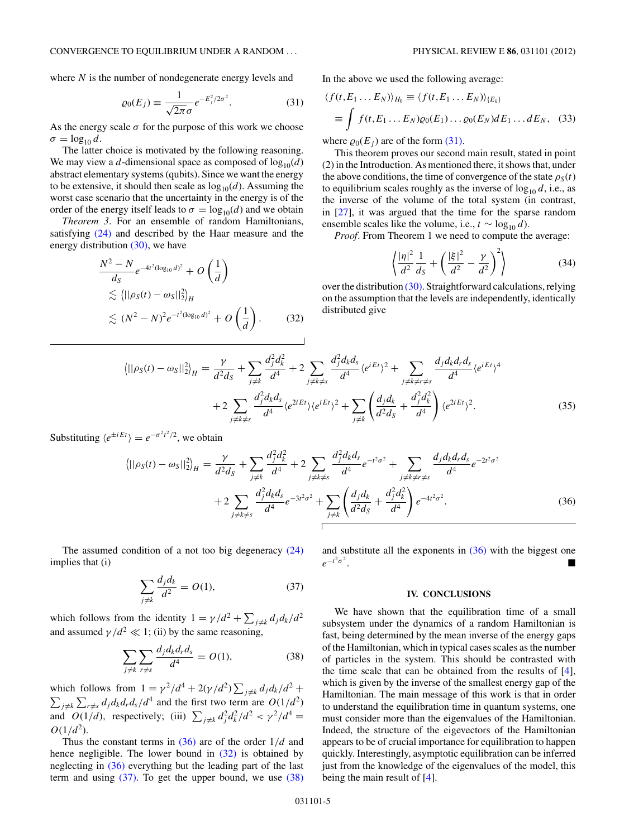where *N* is the number of nondegenerate energy levels and

$$
\varrho_0(E_j) \equiv \frac{1}{\sqrt{2\pi}\sigma} e^{-E_j^2/2\sigma^2}.
$$
 (31)

As the energy scale  $\sigma$  for the purpose of this work we choose  $\sigma = \log_{10} d$ .

The latter choice is motivated by the following reasoning. We may view a *d*-dimensional space as composed of  $log_{10}(d)$ abstract elementary systems (qubits). Since we want the energy to be extensive, it should then scale as  $log_{10}(d)$ . Assuming the worst case scenario that the uncertainty in the energy is of the order of the energy itself leads to  $\sigma = \log_{10}(d)$  and we obtain

*Theorem 3*. For an ensemble of random Hamiltonians, satisfying [\(24\)](#page-3-0) and described by the Haar measure and the energy distribution  $(30)$ , we have

$$
\frac{N^2 - N}{d_S} e^{-4t^2(\log_{10} d)^2} + O\left(\frac{1}{d}\right)
$$
  
\$\lesssim \left\langle ||\rho\_S(t) - \omega\_S||\_2^2 \right\rangle\_H\$  
\$\lesssim (N^2 - N)^2 e^{-t^2(\log\_{10} d)^2} + O\left(\frac{1}{d}\right).\$ (32)

In the above we used the following average:

$$
\langle f(t, E_1 \dots E_N) \rangle_{H_0} \equiv \langle f(t, E_1 \dots E_N) \rangle_{\{E_k\}}
$$
  

$$
\equiv \int f(t, E_1 \dots E_N) \varrho_0(E_1) \dots \varrho_0(E_N) dE_1 \dots dE_N, \quad (33)
$$

where  $\varrho_0(E_i)$  are of the form (31).

This theorem proves our second main result, stated in point (2) in the Introduction. As mentioned there, it shows that, under the above conditions, the time of convergence of the state  $\rho_S(t)$ to equilibrium scales roughly as the inverse of  $log_{10} d$ , i.e., as the inverse of the volume of the total system (in contrast, in [\[27\]](#page-9-0), it was argued that the time for the sparse random ensemble scales like the volume, i.e.,  $t \sim \log_{10} d$ ).

*Proof*. From Theorem 1 we need to compute the average:

$$
\left\langle \frac{|\eta|^2}{d^2} \frac{1}{d_s} + \left( \frac{|\xi|^2}{d^2} - \frac{\gamma}{d^2} \right)^2 \right\rangle \tag{34}
$$

over the distribution [\(30\).](#page-3-0) Straightforward calculations, relying on the assumption that the levels are independently, identically distributed give

$$
\langle ||\rho_S(t) - \omega_S||_2^2 \rangle_H = \frac{\gamma}{d^2 d_S} + \sum_{j \neq k} \frac{d_j^2 d_k^2}{d^4} + 2 \sum_{j \neq k \neq s} \frac{d_j^2 d_k d_s}{d^4} \langle e^{iEt} \rangle^2 + \sum_{j \neq k \neq r \neq s} \frac{d_j d_k d_r d_s}{d^4} \langle e^{iEt} \rangle^4 + 2 \sum_{j \neq k \neq s} \frac{d_j^2 d_k d_s}{d^4} \langle e^{2iEt} \rangle \langle e^{iEt} \rangle^2 + \sum_{j \neq k} \left( \frac{d_j d_k}{d^2 d_S} + \frac{d_j^2 d_k^2}{d^4} \right) \langle e^{2iEt} \rangle^2.
$$
 (35)

Substituting  $\langle e^{\pm iEt} \rangle = e^{-\sigma^2 t^2/2}$ , we obtain

$$
\langle ||\rho_S(t) - \omega_S||_2^2 \rangle_H = \frac{\gamma}{d^2 d_S} + \sum_{j \neq k} \frac{d_j^2 d_k^2}{d^4} + 2 \sum_{j \neq k \neq s} \frac{d_j^2 d_k d_s}{d^4} e^{-t^2 \sigma^2} + \sum_{j \neq k \neq r \neq s} \frac{d_j d_k d_r d_s}{d^4} e^{-2t^2 \sigma^2} + 2 \sum_{j \neq k \neq s} \frac{d_j^2 d_k d_s}{d^4} e^{-3t^2 \sigma^2} + \sum_{j \neq k} \left( \frac{d_j d_k}{d^2 d_S} + \frac{d_j^2 d_k^2}{d^4} \right) e^{-4t^2 \sigma^2}.
$$
 (36)

The assumed condition of a not too big degeneracy [\(24\)](#page-3-0) implies that (i)

$$
\sum_{j \neq k} \frac{d_j d_k}{d^2} = O(1),\tag{37}
$$

which follows from the identity  $1 = \gamma/d^2 + \sum_{j \neq k} d_j d_k/d^2$ and assumed  $\gamma/d^2 \ll 1$ ; (ii) by the same reasoning,

$$
\sum_{j \neq k} \sum_{r \neq s} \frac{d_j d_k d_r d_s}{d^4} = O(1),
$$
\n(38)

which follows from  $1 = \gamma^2/d^4 + 2(\gamma/d^2) \sum_{j \neq k} d_j d_k/d^2 +$  $\sum_{j \neq k} \sum_{r \neq s} d_j d_k d_r d_s / d^4$  and the first two term are  $O(1/d^2)$ and  $O(1/d)$ , respectively; (iii)  $\sum_{j \neq k} d_j^2 d_k^2 / d^2 < \gamma^2 / d^4 =$  $O(1/d^2)$ .

Thus the constant terms in (36) are of the order 1*/d* and hence negligible. The lower bound in (32) is obtained by neglecting in (36) everything but the leading part of the last term and using  $(37)$ . To get the upper bound, we use  $(38)$ 

and substitute all the exponents in (36) with the biggest one  $e^{-t^2\sigma^2}$ . The contract of the contract of the contract of the contract of the contract of the contract of the contract of

#### **IV. CONCLUSIONS**

We have shown that the equilibration time of a small subsystem under the dynamics of a random Hamiltonian is fast, being determined by the mean inverse of the energy gaps of the Hamiltonian, which in typical cases scales as the number of particles in the system. This should be contrasted with the time scale that can be obtained from the results of [\[4\]](#page-9-0), which is given by the inverse of the smallest energy gap of the Hamiltonian. The main message of this work is that in order to understand the equilibration time in quantum systems, one must consider more than the eigenvalues of the Hamiltonian. Indeed, the structure of the eigevectors of the Hamiltonian appears to be of crucial importance for equilibration to happen quickly. Interestingly, asymptotic equilibration can be inferred just from the knowledge of the eigenvalues of the model, this being the main result of [\[4\]](#page-9-0).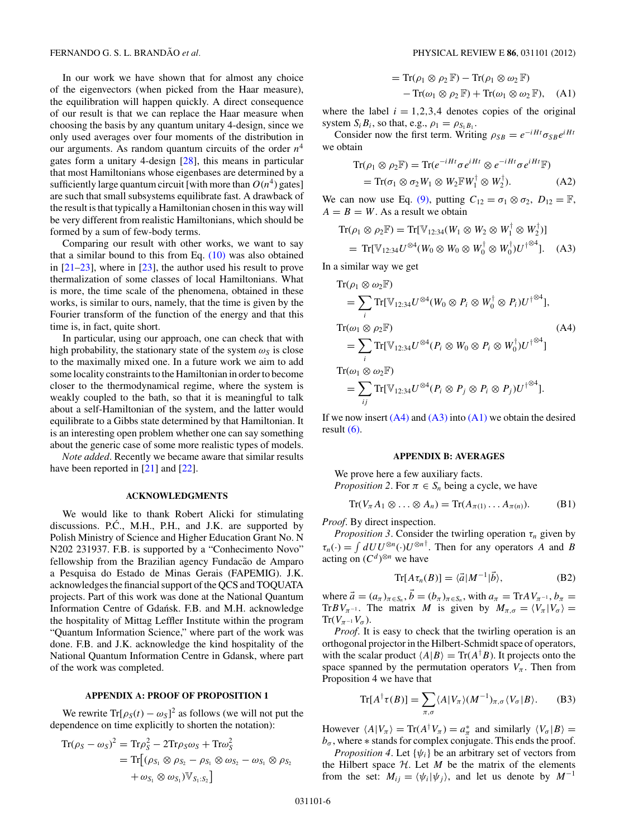<span id="page-5-0"></span>In our work we have shown that for almost any choice of the eigenvectors (when picked from the Haar measure), the equilibration will happen quickly. A direct consequence of our result is that we can replace the Haar measure when choosing the basis by any quantum unitary 4-design, since we only used averages over four moments of the distribution in our arguments. As random quantum circuits of the order  $n<sup>4</sup>$ gates form a unitary 4-design [\[28\]](#page-9-0), this means in particular that most Hamiltonians whose eigenbases are determined by a sufficiently large quantum circuit [with more than  $O(n^4)$  gates] are such that small subsystems equilibrate fast. A drawback of the result is that typically a Hamiltonian chosen in this way will be very different from realistic Hamiltonians, which should be formed by a sum of few-body terms.

Comparing our result with other works, we want to say that a similar bound to this from Eq.  $(10)$  was also obtained in  $[21-23]$ , where in  $[23]$ , the author used his result to prove thermalization of some classes of local Hamiltonians. What is more, the time scale of the phenomena, obtained in these works, is similar to ours, namely, that the time is given by the Fourier transform of the function of the energy and that this time is, in fact, quite short.

In particular, using our approach, one can check that with high probability, the stationary state of the system  $\omega_s$  is close to the maximally mixed one. In a future work we aim to add some locality constraints to the Hamiltonian in order to become closer to the thermodynamical regime, where the system is weakly coupled to the bath, so that it is meaningful to talk about a self-Hamiltonian of the system, and the latter would equilibrate to a Gibbs state determined by that Hamiltonian. It is an interesting open problem whether one can say something about the generic case of some more realistic types of models.

*Note added*. Recently we became aware that similar results have been reported in [\[21\]](#page-9-0) and [\[22\]](#page-9-0).

#### **ACKNOWLEDGMENTS**

We would like to thank Robert Alicki for stimulating discussions. P.C., M.H., P.H., and J.K. are supported by ´ Polish Ministry of Science and Higher Education Grant No. N N202 231937. F.B. is supported by a "Conhecimento Novo" fellowship from the Brazilian agency Fundacão de Amparo a Pesquisa do Estado de Minas Gerais (FAPEMIG). J.K. acknowledges the financial support of the QCS and TOQUATA projects. Part of this work was done at the National Quantum Information Centre of Gdańsk. F.B. and M.H. acknowledge the hospitality of Mittag Leffler Institute within the program "Quantum Information Science," where part of the work was done. F.B. and J.K. acknowledge the kind hospitality of the National Quantum Information Centre in Gdansk, where part of the work was completed.

### **APPENDIX A: PROOF OF PROPOSITION 1**

We rewrite  $Tr[\rho_S(t) - \omega_S]^2$  as follows (we will not put the dependence on time explicitly to shorten the notation):

$$
\begin{aligned} \text{Tr}(\rho_S - \omega_S)^2 &= \text{Tr}\rho_S^2 - 2\text{Tr}\rho_S\omega_S + \text{Tr}\omega_S^2 \\ &= \text{Tr}\big[(\rho_{S_1} \otimes \rho_{S_2} - \rho_{S_1} \otimes \omega_{S_2} - \omega_{S_1} \otimes \rho_{S_2} \\ &+ \omega_{S_1} \otimes \omega_{S_1}) \mathbb{V}_{S_1:S_2} \big] \end{aligned}
$$

$$
= \text{Tr}(\rho_1 \otimes \rho_2 \mathbb{F}) - \text{Tr}(\rho_1 \otimes \omega_2 \mathbb{F})
$$
  
- 
$$
\text{Tr}(\omega_1 \otimes \rho_2 \mathbb{F}) + \text{Tr}(\omega_1 \otimes \omega_2 \mathbb{F}), \quad (A1)
$$

where the label  $i = 1,2,3,4$  denotes copies of the original system  $S_i B_i$ , so that, e.g.,  $\rho_1 = \rho_{S_1 B_1}$ .

Consider now the first term. Writing  $\rho_{SB} = e^{-iHt} \sigma_{SB} e^{iHt}$ we obtain

$$
\operatorname{Tr}(\rho_1 \otimes \rho_2 \mathbb{F}) = \operatorname{Tr}(e^{-iHt}\sigma e^{iHt} \otimes e^{-iHt}\sigma e^{iHt} \mathbb{F})
$$
  
= 
$$
\operatorname{Tr}(\sigma_1 \otimes \sigma_2 W_1 \otimes W_2 \mathbb{F} W_1^{\dagger} \otimes W_2^{\dagger}).
$$
 (A2)

We can now use Eq. [\(9\),](#page-1-0) putting  $C_{12} = \sigma_1 \otimes \sigma_2$ ,  $D_{12} = \mathbb{F}$ ,  $A = B = W$ . As a result we obtain

$$
\operatorname{Tr}(\rho_1 \otimes \rho_2 \mathbb{F}) = \operatorname{Tr}[\mathbb{V}_{12:34}(W_1 \otimes W_2 \otimes W_1^{\dagger} \otimes W_2^{\dagger})]
$$
  
= 
$$
\operatorname{Tr}[\mathbb{V}_{12:34}U^{\otimes 4}(W_0 \otimes W_0 \otimes W_0^{\dagger} \otimes W_0^{\dagger})U^{\dagger \otimes 4}].
$$
 (A3)

In a similar way we get

$$
Tr(\rho_1 \otimes \omega_2 \mathbb{F})
$$
  
=  $\sum_i Tr[\mathbb{V}_{12:34} U^{\otimes 4}(W_0 \otimes P_i \otimes W_0^{\dagger} \otimes P_i)U^{\dagger \otimes 4}],$   
\n
$$
Tr(\omega_1 \otimes \rho_2 \mathbb{F})
$$
  
=  $\sum_i Tr[\mathbb{V}_{12:34} U^{\otimes 4}(P_i \otimes W_0 \otimes P_i \otimes W_0^{\dagger})U^{\dagger \otimes 4}]$   
\n
$$
Tr(\omega_1 \otimes \omega_2 \mathbb{F})
$$
  
=  $\sum_{ij} Tr[\mathbb{V}_{12:34} U^{\otimes 4}(P_i \otimes P_j \otimes P_i \otimes P_j)U^{\dagger \otimes 4}].$  (A4)

If we now insert  $(A4)$  and  $(A3)$  into  $(A1)$  we obtain the desired result [\(6\).](#page-1-0)

## **APPENDIX B: AVERAGES**

We prove here a few auxiliary facts. *Proposition 2.* For  $\pi \in S_n$  being a cycle, we have

$$
\operatorname{Tr}(V_{\pi} A_1 \otimes \ldots \otimes A_n) = \operatorname{Tr}(A_{\pi(1)} \ldots A_{\pi(n)}).
$$
 (B1)

*Proof*. By direct inspection.

*Proposition 3*. Consider the twirling operation  $\tau_n$  given by  $\tau_n(\cdot) = \int dU U^{\otimes n}(\cdot) U^{\otimes n^{\dagger}}$ . Then for any operators *A* and *B* acting on  $(C<sup>d</sup>)^{\otimes n}$  we have

$$
\operatorname{Tr}[A\tau_n(B)] = \langle \vec{a} | M^{-1} | \vec{b} \rangle, \tag{B2}
$$

where  $\vec{a} = (a_{\pi})_{\pi \in S_n}$ ,  $\vec{b} = (b_{\pi})_{\pi \in S_n}$ , with  $a_{\pi} = \text{Tr}AV_{\pi^{-1}}$ ,  $b_{\pi} =$ Tr $BV_{\pi^{-1}}$ . The matrix *M* is given by  $M_{\pi,\sigma} = \langle V_{\pi} | V_{\sigma} \rangle =$  $Tr(V_{\pi^{-1}}V_{\sigma}).$ 

*Proof*. It is easy to check that the twirling operation is an orthogonal projector in the Hilbert-Schmidt space of operators, with the scalar product  $\langle A|B \rangle = \text{Tr}(A^{\dagger}B)$ . It projects onto the space spanned by the permutation operators  $V_\pi$ . Then from Proposition 4 we have that

$$
\operatorname{Tr}[A^{\dagger} \tau(B)] = \sum_{\pi,\sigma} \langle A | V_{\pi} \rangle (M^{-1})_{\pi,\sigma} \langle V_{\sigma} | B \rangle. \tag{B3}
$$

However  $\langle A | V_{\pi} \rangle = \text{Tr}(A^{\dagger} V_{\pi}) = a_{\pi}^*$  and similarly  $\langle V_{\sigma} | B \rangle =$  $b_{\sigma}$ , where  $*$  stands for complex conjugate. This ends the proof.

*Proposition 4.* Let  $\{\psi_i\}$  be an arbitrary set of vectors from the Hilbert space  $H$ . Let  $M$  be the matrix of the elements from the set:  $M_{ij} = \langle \psi_i | \psi_j \rangle$ , and let us denote by  $M^{-1}$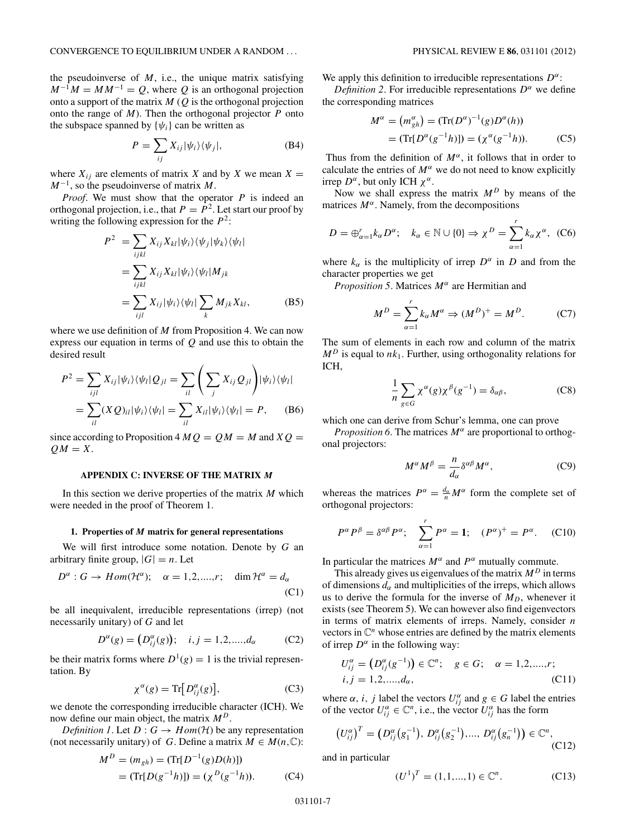<span id="page-6-0"></span>the pseudoinverse of  $M$ , i.e., the unique matrix satisfying  $M^{-1}M = MM^{-1} = Q$ , where *Q* is an orthogonal projection onto a support of the matrix *M* (*Q* is the orthogonal projection onto the range of *M*). Then the orthogonal projector *P* onto the subspace spanned by  $\{\psi_i\}$  can be written as

$$
P = \sum_{ij} X_{ij} |\psi_i\rangle\langle\psi_j|,\tag{B4}
$$

where  $X_{ij}$  are elements of matrix *X* and by *X* we mean  $X =$ *M*<sup>−1</sup>, so the pseudoinverse of matrix *M*.

*Proof*. We must show that the operator *P* is indeed an orthogonal projection, i.e., that  $P = P^2$ . Let start our proof by writing the following expression for the  $P^2$ :

$$
P^{2} = \sum_{ijkl} X_{ij} X_{kl} |\psi_{i}\rangle\langle\psi_{j}|\psi_{k}\rangle\langle\psi_{l}|
$$
  

$$
= \sum_{ijkl} X_{ij} X_{kl} |\psi_{i}\rangle\langle\psi_{l}| M_{jk}
$$
  

$$
= \sum_{ijl} X_{ij} |\psi_{i}\rangle\langle\psi_{l}| \sum_{k} M_{jk} X_{kl},
$$
 (B5)

where we use definition of *M* from Proposition 4. We can now express our equation in terms of *Q* and use this to obtain the desired result

$$
P^{2} = \sum_{ijl} X_{ij} |\psi_{i}\rangle\langle\psi_{l}|Q_{jl} = \sum_{il} \left(\sum_{j} X_{ij} Q_{jl}\right) |\psi_{i}\rangle\langle\psi_{l}|
$$
  
= 
$$
\sum_{il} (X Q)_{il} |\psi_{i}\rangle\langle\psi_{l}| = \sum_{il} X_{il} |\psi_{i}\rangle\langle\psi_{l}| = P,
$$
 (B6)

since according to Proposition 4  $MQ = QM = M$  and  $XQ =$  $QM = X$ .

#### **APPENDIX C: INVERSE OF THE MATRIX** *M*

In this section we derive properties of the matrix *M* which were needed in the proof of Theorem 1.

#### **1. Properties of** *M* **matrix for general representations**

We will first introduce some notation. Denote by *G* an arbitrary finite group,  $|G| = n$ . Let

$$
D^{\alpha}: G \to Hom(\mathcal{H}^{\alpha}); \quad \alpha = 1, 2, \dots, r; \quad \dim \mathcal{H}^{\alpha} = d_{\alpha}
$$
\n(C1)

be all inequivalent, irreducible representations (irrep) (not necessarily unitary) of *G* and let

$$
D^{\alpha}(g) = (D^{\alpha}_{ij}(g)); \quad i, j = 1, 2, \dots, d_{\alpha} \quad (C2)
$$

be their matrix forms where  $D^1(g) = 1$  is the trivial representation. By

$$
\chi^{\alpha}(g) = \text{Tr}\big[D_{ij}^{\alpha}(g)\big],\tag{C3}
$$

we denote the corresponding irreducible character (ICH). We now define our main object, the matrix *M<sup>D</sup>*.

*Definition 1*. Let  $D: G \rightarrow Hom(H)$  be any representation (not necessarily unitary) of *G*. Define a matrix  $M \in M(n, \mathbb{C})$ :

$$
M^{D} = (m_{gh}) = (\text{Tr}[D^{-1}(g)D(h)])
$$
  
= (\text{Tr}[D(g^{-1}h)]) = (\chi^{D}(g^{-1}h)). \t(C4)

We apply this definition to irreducible representations *D<sup>α</sup>*:

*Definition 2.* For irreducible representations  $D^{\alpha}$  we define the corresponding matrices

$$
M^{\alpha} = (m_{gh}^{\alpha}) = (\text{Tr}(D^{\alpha})^{-1}(g)D^{\alpha}(h))
$$
  
= (\text{Tr}[D^{\alpha}(g^{-1}h)]) = (\chi^{\alpha}(g^{-1}h)). (C5)

Thus from the definition of  $M^{\alpha}$ , it follows that in order to calculate the entries of  $M^{\alpha}$  we do not need to know explicitly irrep  $D^{\alpha}$ , but only ICH  $\chi^{\alpha}$ .

Now we shall express the matrix  $M<sup>D</sup>$  by means of the matrices  $M^{\alpha}$ . Namely, from the decompositions

$$
D = \bigoplus_{\alpha=1}^{r} k_{\alpha} D^{\alpha}; \quad k_{\alpha} \in \mathbb{N} \cup \{0\} \Rightarrow \chi^{D} = \sum_{\alpha=1}^{r} k_{\alpha} \chi^{\alpha}, \tag{C6}
$$

where  $k_{\alpha}$  is the multiplicity of irrep  $D^{\alpha}$  in *D* and from the character properties we get

*Proposition 5*. Matrices *M<sup>α</sup>* are Hermitian and

$$
M^{D} = \sum_{\alpha=1}^{r} k_{\alpha} M^{\alpha} \Rightarrow (M^{D})^{+} = M^{D}.
$$
 (C7)

The sum of elements in each row and column of the matrix  $M<sup>D</sup>$  is equal to  $nk_1$ . Further, using orthogonality relations for ICH,

$$
\frac{1}{n}\sum_{g\in G} \chi^{\alpha}(g)\chi^{\beta}(g^{-1}) = \delta_{\alpha\beta},\tag{C8}
$$

which one can derive from Schur's lemma, one can prove

*Proposition 6*. The matrices  $M^{\alpha}$  are proportional to orthogonal projectors:

$$
M^{\alpha}M^{\beta} = \frac{n}{d_{\alpha}}\delta^{\alpha\beta}M^{\alpha},\tag{C9}
$$

whereas the matrices  $P^{\alpha} = \frac{d_{\alpha}}{n} M^{\alpha}$  form the complete set of orthogonal projectors:

$$
P^{\alpha}P^{\beta} = \delta^{\alpha\beta}P^{\alpha}; \quad \sum_{\alpha=1}^{r} P^{\alpha} = 1; \quad (P^{\alpha})^{+} = P^{\alpha}. \quad \text{(C10)}
$$

In particular the matrices  $M^{\alpha}$  and  $P^{\alpha}$  mutually commute.

This already gives us eigenvalues of the matrix  $M<sup>D</sup>$  in terms of dimensions  $d_{\alpha}$  and multiplicities of the irreps, which allows us to derive the formula for the inverse of  $M_D$ , whenever it exists (see Theorem 5). We can however also find eigenvectors in terms of matrix elements of irreps. Namely, consider *n* vectors in  $\mathbb{C}^n$  whose entries are defined by the matrix elements of irrep  $D^{\alpha}$  in the following way:

$$
U_{ij}^{\alpha} = (D_{ij}^{\alpha}(g^{-1})) \in \mathbb{C}^{n}; \quad g \in G; \quad \alpha = 1, 2, \dots, r; i, j = 1, 2, \dots, d_{\alpha},
$$
 (C11)

where  $\alpha$ , *i*, *j* label the vectors  $U_{ij}^{\alpha}$  and  $g \in G$  label the entries of the vector  $U_{ij}^{\alpha} \in \mathbb{C}^n$ , i.e., the vector  $U_{ij}^{\alpha}$  has the form

$$
\left(U_{ij}^{\alpha}\right)^{T} = \left(D_{ij}^{\alpha}\left(g_{1}^{-1}\right),\,D_{ij}^{\alpha}\left(g_{2}^{-1}\right),\ldots,\,D_{ij}^{\alpha}\left(g_{n}^{-1}\right)\right) \in \mathbb{C}^{n},\tag{C12}
$$

and in particular

$$
(U1)T = (1, 1, ..., 1) \in \mathbb{C}^{n}.
$$
 (C13)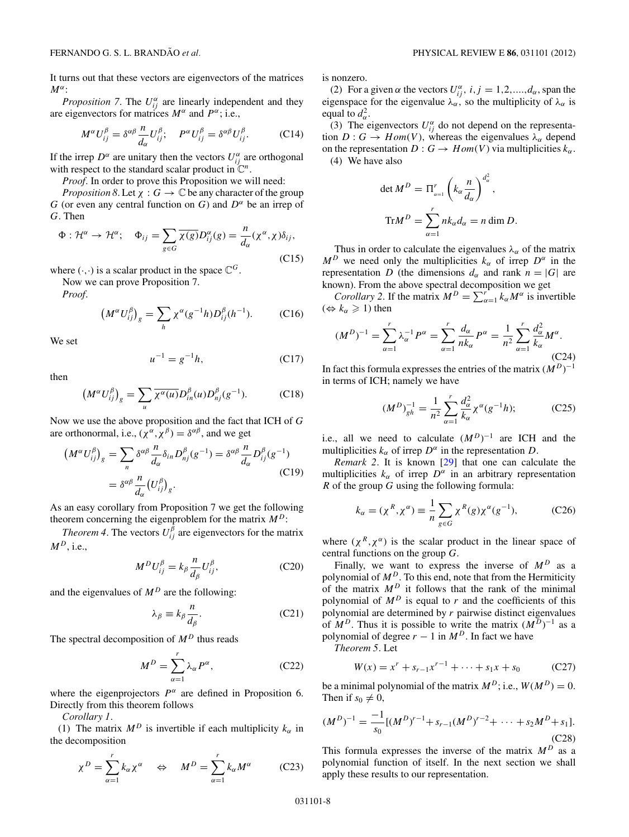It turns out that these vectors are eigenvectors of the matrices *M<sup>α</sup>*:

*Proposition 7.* The  $U_{ij}^{\alpha}$  are linearly independent and they are eigenvectors for matrices *M<sup>α</sup>* and *P<sup>α</sup>*; i.e.,

$$
M^{\alpha}U_{ij}^{\beta} = \delta^{\alpha\beta} \frac{n}{d_{\alpha}} U_{ij}^{\beta}; \quad P^{\alpha}U_{ij}^{\beta} = \delta^{\alpha\beta} U_{ij}^{\beta}.
$$
 (C14)

If the irrep  $D^{\alpha}$  are unitary then the vectors  $U_{ij}^{\alpha}$  are orthogonal with respect to the standard scalar product in  $\mathbb{C}^n$ .

*Proof.* In order to prove this Proposition we will need:

*Proposition 8*. Let  $\chi$  :  $G \to \mathbb{C}$  be any character of the group *G* (or even any central function on *G*) and  $D^{\alpha}$  be an irrep of *G*. Then

$$
\Phi: \mathcal{H}^{\alpha} \to \mathcal{H}^{\alpha}; \quad \Phi_{ij} = \sum_{g \in G} \overline{\chi(g)} D^{\alpha}_{ij}(g) = \frac{n}{d_{\alpha}} (\chi^{\alpha}, \chi) \delta_{ij},
$$
\n(C15)

where  $(\cdot, \cdot)$  is a scalar product in the space  $\mathbb{C}^G$ .

Now we can prove Proposition 7.

*Proof*.

$$
(M^{\alpha} U_{ij}^{\beta})_g = \sum_h \chi^{\alpha} (g^{-1} h) D_{ij}^{\beta} (h^{-1}).
$$
 (C16)

We set

$$
u^{-1} = g^{-1}h, \tag{C17}
$$

then

$$
\left(M^{\alpha}U_{ij}^{\beta}\right)_{g} = \sum_{u} \overline{\chi^{\alpha}(u)} D_{in}^{\beta}(u) D_{nj}^{\beta}(g^{-1}). \tag{C18}
$$

Now we use the above proposition and the fact that ICH of *G* are orthonormal, i.e.,  $(\chi^{\alpha}, \chi^{\beta}) = \delta^{\alpha\beta}$ , and we get

$$
\left(M^{\alpha}U_{ij}^{\beta}\right)_{g} = \sum_{n} \delta^{\alpha\beta} \frac{n}{d_{\alpha}} \delta_{in} D_{nj}^{\beta}(g^{-1}) = \delta^{\alpha\beta} \frac{n}{d_{\alpha}} D_{ij}^{\beta}(g^{-1})
$$

$$
= \delta^{\alpha\beta} \frac{n}{d_{\alpha}} \left(U_{ij}^{\beta}\right)_{g}.
$$
(C19)

As an easy corollary from Proposition 7 we get the following theorem concerning the eigenproblem for the matrix *M<sup>D</sup>*:

*Theorem 4*. The vectors  $U_{ij}^{\beta}$  are eigenvectors for the matrix *M<sup>D</sup>*, i.e.,

$$
M^D U_{ij}^{\beta} = k_{\beta} \frac{n}{d_{\beta}} U_{ij}^{\beta},\tag{C20}
$$

and the eigenvalues of  $M<sup>D</sup>$  are the following:

$$
\lambda_{\beta} \equiv k_{\beta} \frac{n}{d_{\beta}}.
$$
 (C21)

The spectral decomposition of  $M<sup>D</sup>$  thus reads

$$
M^D = \sum_{\alpha=1}^r \lambda_\alpha P^\alpha, \qquad (C22)
$$

where the eigenprojectors  $P^{\alpha}$  are defined in Proposition 6. Directly from this theorem follows

*Corollary 1*.

(1) The matrix  $M^D$  is invertible if each multiplicity  $k_\alpha$  in the decomposition

$$
\chi^{D} = \sum_{\alpha=1}^{r} k_{\alpha} \chi^{\alpha} \quad \Leftrightarrow \quad M^{D} = \sum_{\alpha=1}^{r} k_{\alpha} M^{\alpha} \tag{C23}
$$

is nonzero.

(2) For a given  $\alpha$  the vectors  $U_{ij}^{\alpha}$ ,  $i, j = 1, 2, \dots, d_{\alpha}$ , span the eigenspace for the eigenvalue  $\lambda_{\alpha}$ , so the multiplicity of  $\lambda_{\alpha}$  is equal to  $d_{\alpha}^2$ .

(3) The eigenvectors  $U_{ij}^{\alpha}$  do not depend on the representation  $D: G \to Hom(V)$ , whereas the eigenvalues  $\lambda_{\alpha}$  depend on the representation  $D: G \to Hom(V)$  via multiplicities  $k_{\alpha}$ . (4) We have also

$$
\det M^D = \Pi_{\alpha=1}^r \left( k_\alpha \frac{n}{d_\alpha} \right)^{d_\alpha^2},
$$

$$
\text{Tr} M^D = \sum_{\alpha=1}^r n k_\alpha d_\alpha = n \dim D.
$$

Thus in order to calculate the eigenvalues  $\lambda_{\alpha}$  of the matrix  $M^D$  we need only the multiplicities  $k_\alpha$  of irrep  $D^\alpha$  in the representation *D* (the dimensions  $d_{\alpha}$  and rank  $n = |G|$  are known). From the above spectral decomposition we get

*Corollary 2.* If the matrix  $M^D = \sum_{\alpha=1}^r k_\alpha M^\alpha$  is invertible  $(\Leftrightarrow k_{\alpha} \geqslant 1)$  then

$$
(M^{D})^{-1} = \sum_{\alpha=1}^{r} \lambda_{\alpha}^{-1} P^{\alpha} = \sum_{\alpha=1}^{r} \frac{d_{\alpha}}{nk_{\alpha}} P^{\alpha} = \frac{1}{n^{2}} \sum_{\alpha=1}^{r} \frac{d_{\alpha}^{2}}{k_{\alpha}} M^{\alpha}.
$$
\n(C24)

In fact this formula expresses the entries of the matrix  $(M^D)^{-1}$ in terms of ICH; namely we have

$$
(M^{D})_{gh}^{-1} = \frac{1}{n^{2}} \sum_{\alpha=1}^{r} \frac{d_{\alpha}^{2}}{k_{\alpha}} \chi^{\alpha}(g^{-1}h);
$$
 (C25)

i.e., all we need to calculate  $(M^D)^{-1}$  are ICH and the multiplicities  $k_{\alpha}$  of irrep  $D^{\alpha}$  in the representation *D*.

*Remark 2*. It is known [\[29\]](#page-9-0) that one can calculate the multiplicities  $k_{\alpha}$  of irrep  $D^{\alpha}$  in an arbitrary representation *R* of the group *G* using the following formula:

$$
k_{\alpha} = (\chi^R, \chi^{\alpha}) \equiv \frac{1}{n} \sum_{g \in G} \chi^R(g) \chi^{\alpha}(g^{-1}), \quad (C26)
$$

where  $(\chi^R, \chi^\alpha)$  is the scalar product in the linear space of central functions on the group *G.*

Finally, we want to express the inverse of  $M^D$  as a polynomial of  $M^D$ . To this end, note that from the Hermiticity of the matrix  $M^D$  it follows that the rank of the minimal polynomial of  $M^D$  is equal to  $r$  and the coefficients of this polynomial are determined by *r* pairwise distinct eigenvalues of  $M^D$ . Thus it is possible to write the matrix  $(M^D)^{-1}$  as a polynomial of degree  $r - 1$  in  $M<sup>D</sup>$ . In fact we have

*Theorem 5*. Let

$$
W(x) = xr + sr-1xr-1 + \dots + s_1x + s_0
$$
 (C27)

be a minimal polynomial of the matrix  $M^D$ ; i.e.,  $W(M^D) = 0$ . Then if  $s_0 \neq 0$ ,

$$
(MD)-1 = \frac{-1}{s_0} [(MD)r-1 + sr-1(MD)r-2 + \dots + s_2 MD + s_1].
$$
\n(C28)

This formula expresses the inverse of the matrix *M<sup>D</sup>* as a polynomial function of itself. In the next section we shall apply these results to our representation.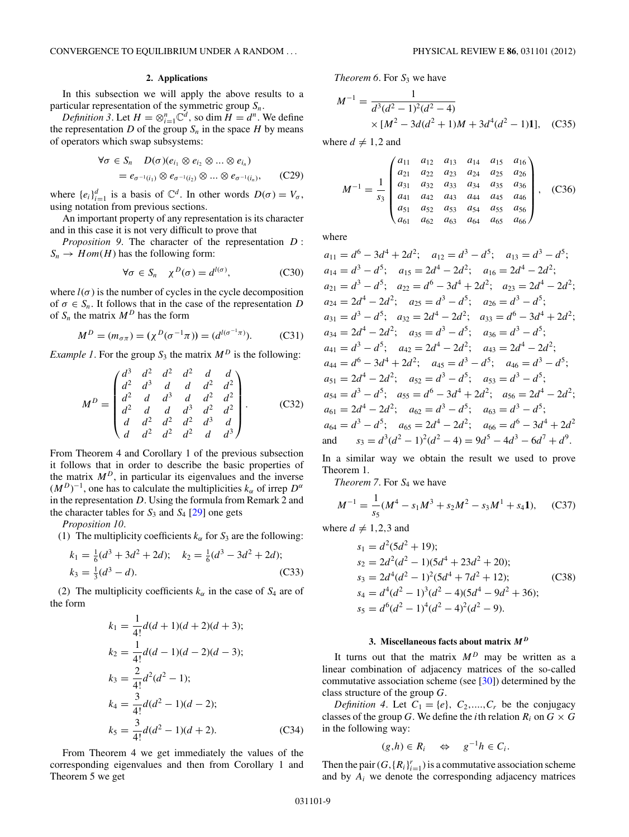### **2. Applications**

<span id="page-8-0"></span>In this subsection we will apply the above results to a particular representation of the symmetric group *Sn*.

*Definition 3*. Let  $H = \otimes_{i=1}^{n} \mathbb{C}^{d}$ , so dim  $H = d^{n}$ . We define the representation  $D$  of the group  $S_n$  in the space  $H$  by means of operators which swap subsystems:

$$
\forall \sigma \in S_n \quad D(\sigma)(e_{i_1} \otimes e_{i_2} \otimes \dots \otimes e_{i_n})
$$
  
=  $e_{\sigma^{-1}(i_1)} \otimes e_{\sigma^{-1}(i_2)} \otimes \dots \otimes e_{\sigma^{-1}(i_n)},$  (C29)

where  $\{e_i\}_{i=1}^d$  is a basis of  $\mathbb{C}^d$ . In other words  $D(\sigma) = V_{\sigma}$ , using notation from previous sections.

An important property of any representation is its character and in this case it is not very difficult to prove that

*Proposition 9*. The character of the representation *D* :  $S_n \to Hom(H)$  has the following form:

$$
\forall \sigma \in S_n \quad \chi^D(\sigma) = d^{l(\sigma)}, \tag{C30}
$$

where  $l(\sigma)$  is the number of cycles in the cycle decomposition of  $\sigma \in S_n$ . It follows that in the case of the representation *D* of  $S_n$  the matrix  $M^D$  has the form

$$
M^{D} = (m_{\sigma\pi}) = (\chi^{D}(\sigma^{-1}\pi)) = (d^{l(\sigma^{-1}\pi)}).
$$
 (C31)

*Example 1*. For the group  $S_3$  the matrix  $M^D$  is the following:

$$
M^{D} = \begin{pmatrix} d^{3} & d^{2} & d^{2} & d^{2} & d & d \\ d^{2} & d^{3} & d & d & d^{2} & d^{2} \\ d^{2} & d & d^{3} & d & d^{2} & d^{2} \\ d^{2} & d & d & d^{3} & d^{2} & d^{2} \\ d & d^{2} & d^{2} & d^{2} & d^{3} & d \\ d & d^{2} & d^{2} & d^{2} & d & d^{3} \end{pmatrix}.
$$
 (C32)

From Theorem 4 and Corollary 1 of the previous subsection it follows that in order to describe the basic properties of the matrix  $M<sup>D</sup>$ , in particular its eigenvalues and the inverse  $(M^D)^{-1}$ , one has to calculate the multiplicities  $k_\alpha$  of irrep  $D^\alpha$ in the representation *D*. Using the formula from Remark 2 and the character tables for  $S_3$  and  $S_4$  [\[29\]](#page-9-0) one gets

*Proposition 10*.

(1) The multiplicity coefficients  $k_{\alpha}$  for  $S_3$  are the following:

$$
k_1 = \frac{1}{6}(d^3 + 3d^2 + 2d); \quad k_2 = \frac{1}{6}(d^3 - 3d^2 + 2d);
$$
  
\n
$$
k_3 = \frac{1}{3}(d^3 - d).
$$
 (C33)

(2) The multiplicity coefficients  $k_{\alpha}$  in the case of  $S_4$  are of the form

$$
k_1 = \frac{1}{4!}d(d+1)(d+2)(d+3);
$$
  
\n
$$
k_2 = \frac{1}{4!}d(d-1)(d-2)(d-3);
$$
  
\n
$$
k_3 = \frac{2}{4!}d^2(d^2-1);
$$
  
\n
$$
k_4 = \frac{3}{4!}d(d^2-1)(d-2);
$$
  
\n
$$
k_5 = \frac{3}{4!}d(d^2-1)(d+2).
$$
 (C34)

From Theorem 4 we get immediately the values of the corresponding eigenvalues and then from Corollary 1 and Theorem 5 we get

*Theorem 6*. For *S*<sup>3</sup> we have

$$
M^{-1} = \frac{1}{d^3(d^2 - 1)^2(d^2 - 4)}
$$
  
× [M<sup>2</sup> – 3d(d<sup>2</sup> + 1)M + 3d<sup>4</sup>(d<sup>2</sup> – 1)1], (C35)

where  $d \neq 1,2$  and

$$
M^{-1} = \frac{1}{s_3} \begin{pmatrix} a_{11} & a_{12} & a_{13} & a_{14} & a_{15} & a_{16} \\ a_{21} & a_{22} & a_{23} & a_{24} & a_{25} & a_{26} \\ a_{31} & a_{32} & a_{33} & a_{34} & a_{35} & a_{36} \\ a_{41} & a_{42} & a_{43} & a_{44} & a_{45} & a_{46} \\ a_{51} & a_{52} & a_{53} & a_{54} & a_{55} & a_{56} \\ a_{61} & a_{62} & a_{63} & a_{64} & a_{65} & a_{66} \end{pmatrix},
$$
 (C36)

where

$$
a_{11} = d^6 - 3d^4 + 2d^2; \quad a_{12} = d^3 - d^5; \quad a_{13} = d^3 - d^5; a_{14} = d^3 - d^5; \quad a_{15} = 2d^4 - 2d^2; \quad a_{16} = 2d^4 - 2d^2; a_{21} = d^3 - d^5; \quad a_{22} = d^6 - 3d^4 + 2d^2; \quad a_{23} = 2d^4 - 2d^2; a_{24} = 2d^4 - 2d^2; \quad a_{25} = d^3 - d^5; \quad a_{26} = d^3 - d^5; a_{31} = d^3 - d^5; \quad a_{32} = 2d^4 - 2d^2; \quad a_{33} = d^6 - 3d^4 + 2d^2; a_{34} = 2d^4 - 2d^2; \quad a_{35} = d^3 - d^5; \quad a_{36} = d^3 - d^5; a_{41} = d^3 - d^5; \quad a_{42} = 2d^4 - 2d^2; \quad a_{43} = 2d^4 - 2d^2; a_{44} = d^6 - 3d^4 + 2d^2; \quad a_{45} = d^3 - d^5; \quad a_{46} = d^3 - d^5; a_{51} = 2d^4 - 2d^2; \quad a_{52} = d^3 - d^5; \quad a_{53} = d^3 - d^5; a_{54} = d^3 - d^5; \quad a_{55} = d^6 - 3d^4 + 2d^2; \quad a_{56} = 2d^4 - 2d^2; a_{61} = 2d^4 - 2d^2; \quad a_{62} = d^3 - d^5; \quad a_{63} = d^3 - d^5; a_{64} = d^3 - d^5; \quad a_{65} = 2d^4 - 2d^2; \quad a_{66} = d^6 - 3d^4 + 2d^2
$$
 and 
$$
s_3 = d^3(d^2 - 1)^2(d^2 - 4) = 9d^5 - 4d^3 - 6d^7 + d^9.
$$

In a similar way we obtain the result we used to prove Theorem 1.

*Theorem 7*. For *S*<sup>4</sup> we have

$$
M^{-1} = \frac{1}{s_5} (M^4 - s_1 M^3 + s_2 M^2 - s_3 M^1 + s_4 1), \quad (C37)
$$

where  $d \neq 1,2,3$  and

$$
s_1 = d^2(5d^2 + 19);
$$
  
\n
$$
s_2 = 2d^2(d^2 - 1)(5d^4 + 23d^2 + 20);
$$
  
\n
$$
s_3 = 2d^4(d^2 - 1)^2(5d^4 + 7d^2 + 12);
$$
  
\n
$$
s_4 = d^4(d^2 - 1)^3(d^2 - 4)(5d^4 - 9d^2 + 36);
$$
  
\n
$$
s_5 = d^6(d^2 - 1)^4(d^2 - 4)^2(d^2 - 9).
$$
\n(C38)

### **3. Miscellaneous facts about matrix** *M <sup>D</sup>*

It turns out that the matrix  $M<sup>D</sup>$  may be written as a linear combination of adjacency matrices of the so-called commutative association scheme (see [\[30\]](#page-9-0)) determined by the class structure of the group *G.*

*Definition 4.* Let  $C_1 = \{e\}$ ,  $C_2, \ldots, C_r$  be the conjugacy classes of the group *G*. We define the *i*th relation  $R_i$  on  $G \times G$ in the following way:

$$
(g,h)\in R_i\quad\Leftrightarrow\quad g^{-1}h\in C_i.
$$

Then the pair  $(G, {R_i}_{i=1}^r)$  is a commutative association scheme and by *Ai* we denote the corresponding adjacency matrices